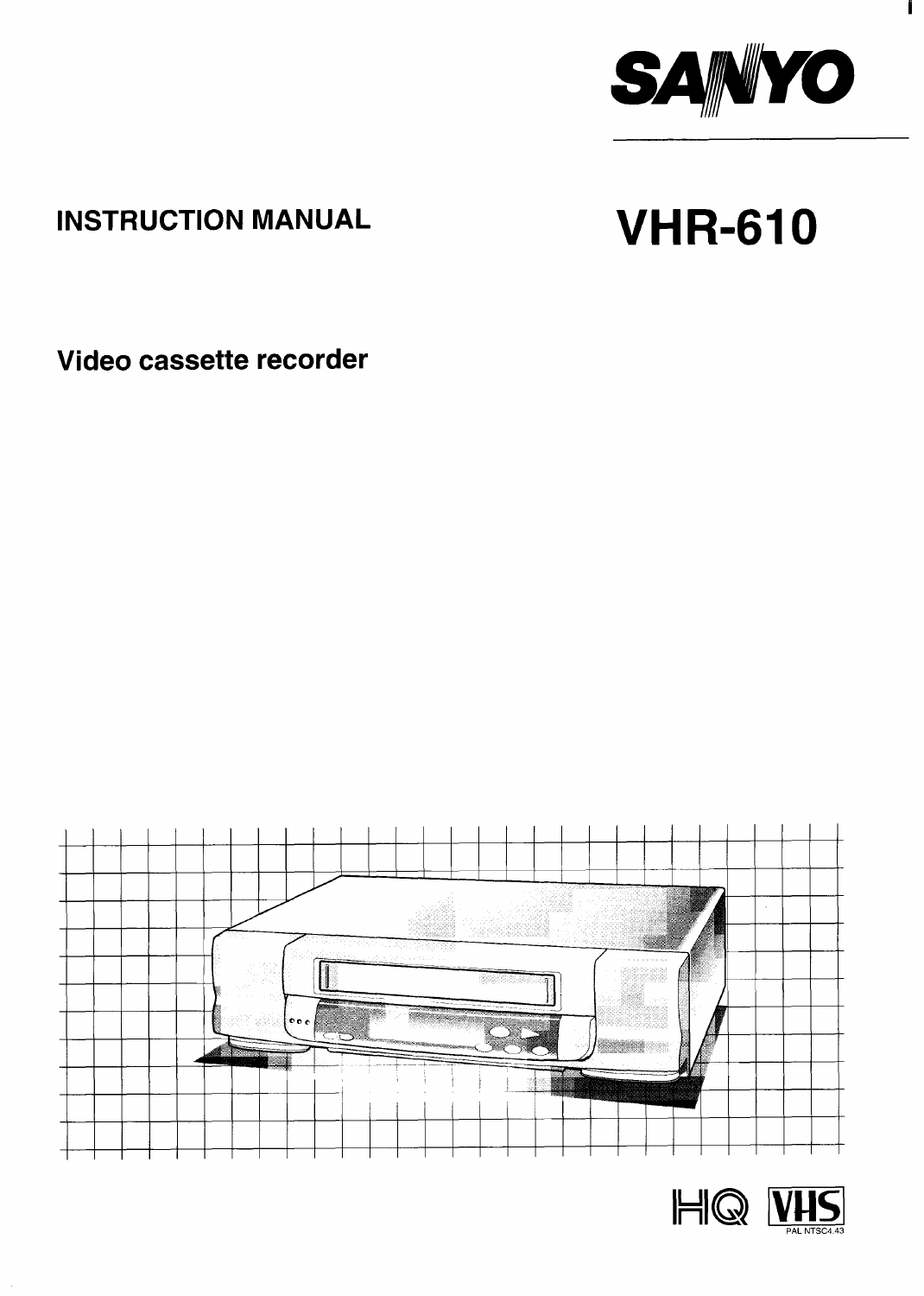

 $\mathbf{I}$ 

### **INSTRUCTION MANUAL**

# **VHR-610**

Video cassette recorder



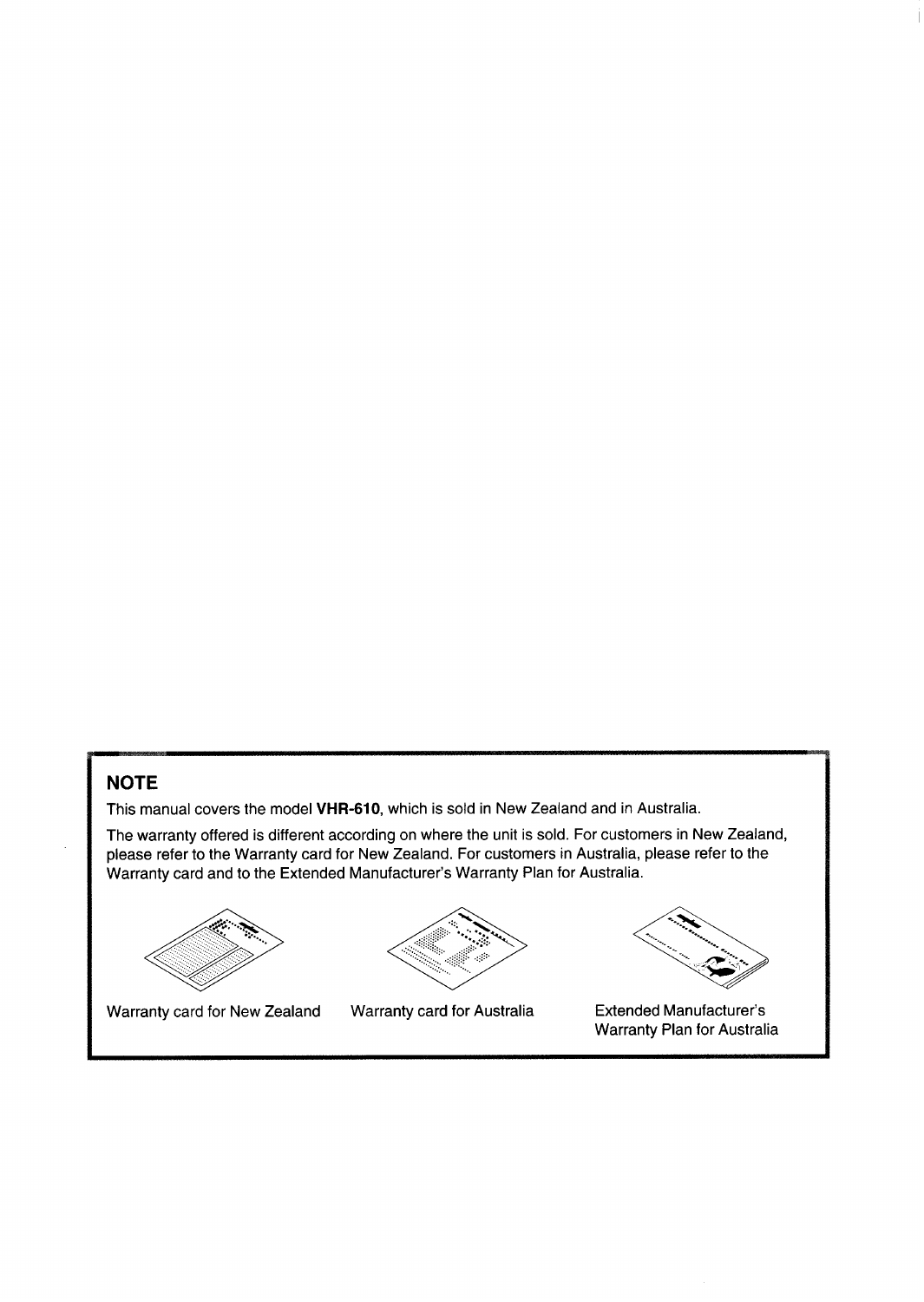#### **NOTE**

This manual covers the model VHR-610, which is sold in New Zealand and in Australia.

The warranty offered is different according on where the unit is sold. For customers in New Zealand, please refer to the Warranty card for New Zealand. For customers in Australia, please refer to the Warranty card and to the Extended Manufacturer's Warranty Plan for Australia.



Warranty card for New Zealand



Warranty card for Australia



**Extended Manufacturer's** Warranty Plan for Australia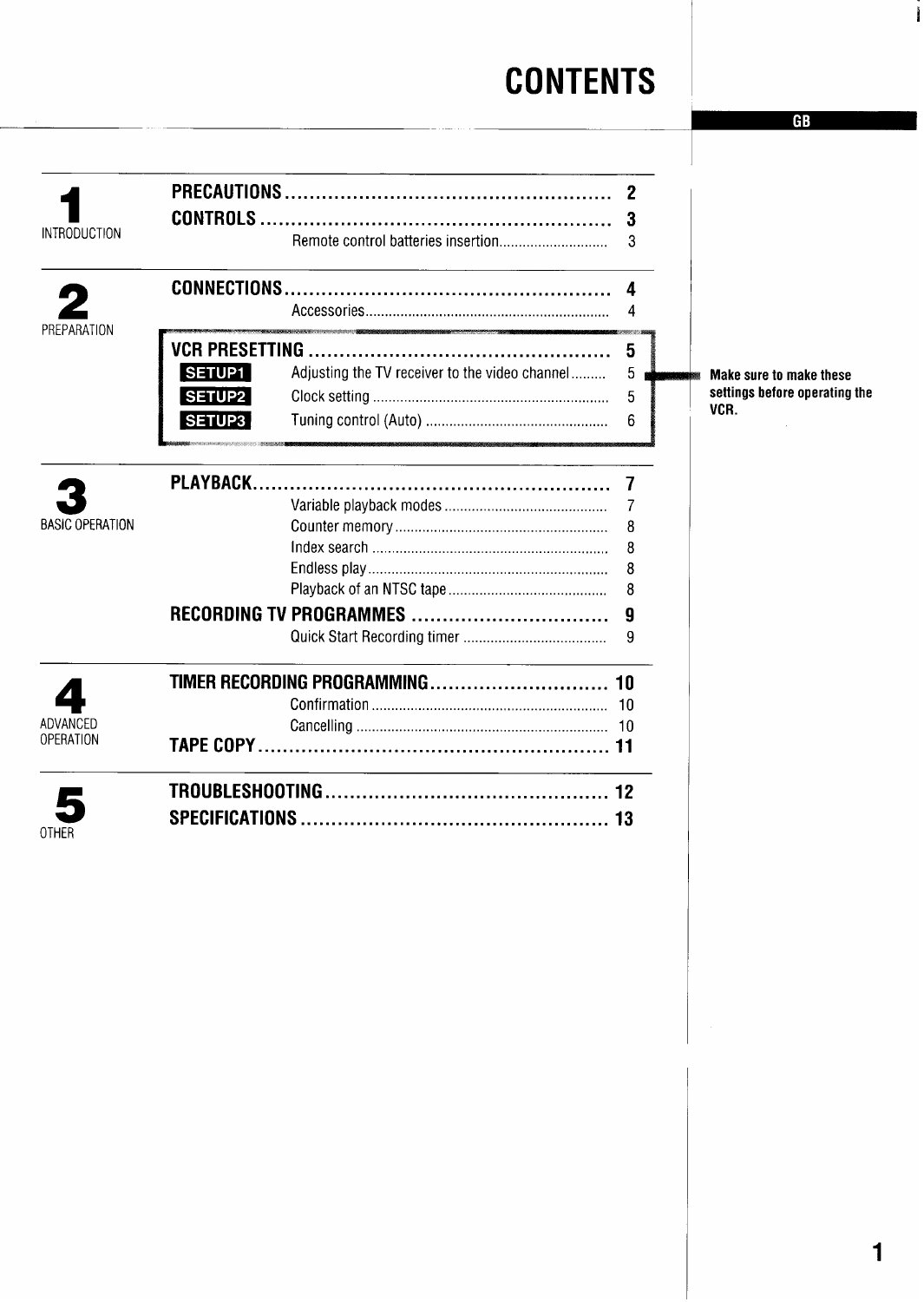### **CONTENTS**

|                        |                                                                 | 2  |                               |
|------------------------|-----------------------------------------------------------------|----|-------------------------------|
|                        | <b>CONTROLS</b>                                                 |    |                               |
| <b>INTRODUCTION</b>    |                                                                 | 3  |                               |
|                        |                                                                 |    |                               |
|                        |                                                                 | Δ  |                               |
|                        |                                                                 |    |                               |
| REPARATION             |                                                                 |    |                               |
|                        | <b>VCR PRESETTING.</b>                                          | 5  |                               |
|                        | <b>SETUP1</b><br>Adjusting the TV receiver to the video channel | 5  | Make sure to make these       |
|                        | <b>SETUP2</b>                                                   | 5  | settings before operating the |
|                        | <b>SETUP3</b>                                                   | 6  | VCR.                          |
|                        |                                                                 |    |                               |
|                        | PLAYBACK                                                        |    |                               |
|                        |                                                                 | 7  |                               |
| <b>BASIC OPERATION</b> |                                                                 | 8  |                               |
|                        |                                                                 | 8  |                               |
|                        |                                                                 | 8  |                               |
|                        |                                                                 | 8  |                               |
|                        | RECORDING TV PROGRAMMES                                         | 9  |                               |
|                        |                                                                 | 9  |                               |
|                        |                                                                 |    |                               |
|                        |                                                                 |    |                               |
|                        |                                                                 |    |                               |
| ADVANCED               |                                                                 |    |                               |
| OPERATION              |                                                                 |    |                               |
|                        |                                                                 |    |                               |
|                        | <b>SPECIFICATIONS</b>                                           | 13 |                               |
| OTHER                  |                                                                 |    |                               |
|                        |                                                                 |    |                               |

Ĭ

**CR**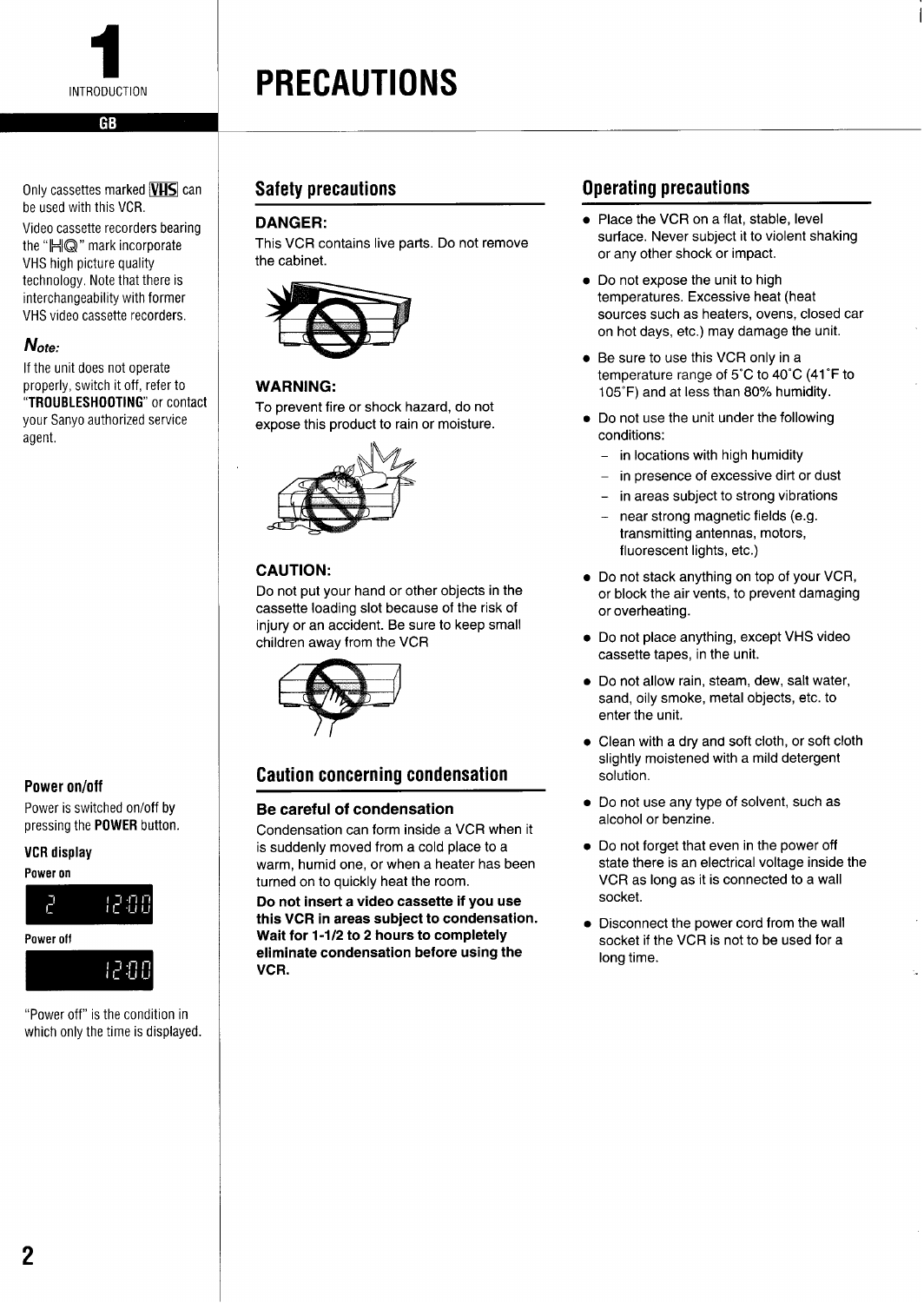<span id="page-3-0"></span>

Only cassettes marked **VHS** can be used with this VCR. Video cassette recorders bearing

the "HIQ" mark incorporate VHS high picture quality technology, Note that there is interchangeability with former VHS video cassette recorders.

#### Note:

If the unit does not operate properly, switch it off, refer to "TROUBLESHOOTING" or contact your Sanyo authorized service agent,

#### Power on/off

Power is switched on/off by pressing the POWER button.

#### VCR**display**

Power on



"Power off" is the condition in which only the time is displayed.

**PRECAUTIONS**

#### DANGER:

This VCR contains live parts. Do not remove the cabinet.



#### WARNING:

To prevent fire or shock hazard, do not expose this product to rain or moisture.



#### CAUTION:

Do not put your hand or other objects in the cassette loading slot because of the risk of injury or an accident. Be sure to keep small children away from the VCR



#### Caution concerning condensation

#### **Be careful of condensation**

Condensation can form inside a VCR when it is suddenly moved from a cold place to a warm, humid one, or when a heater has been turned on to quickly heat the room.

**Do not insert a video cassette if you use this** VCR **in areas subject to condensation. Wait for 1-1/2 to 2 hours to completely eliminate condensation before using the VCR.**

#### Safety precautions **Safety** precautions **Operating precautions**

 $\bullet\,$  Place the VCR on a flat, stable, leve surface. Never subject it to violent shaking or any other shock or impact.

I

- Do not expose the unit to high temperatures. Excessive heat (heat sources such as heaters, ovens, closed car on hot days, etc.) may damage the unit.
- Be sure to use this VCR only in a temperature range of 5°C to 40"C (41 "F to 105"F) and at less than 80% humidity.
- $\bullet\,$  Do not use the unit under the following conditions:
	- in locations with high humidity
	- in presence of excessive dirt or dust
	- in areas subject to strong vibrations
	- near strong magnetic fields (e.g. transmitting antennas, motors, fluorescent lights, etc.)
- Do not stack anything on top of your VCR, or block the air vents, to prevent damaging or overheating.
- $\bullet\,$  Do not place anything, except VHS video cassette tapes, in the unit.
- Do not allow rain, steam, dew, salt water sand, oily smoke, metal objects, etc. to enter the unit.
- Clean with a dry and soft cloth, or soft cloth slightly moistened with a mild detergent solution.
- Do not use any type of solvent, such as alcohol or benzine.
- Do not forget that even in the power off state there is an electrical voltage inside the VCR as long as it is connected to a wall socket.
- Disconnect the power cord from the wall socket if the VCR is not to be used for a long time.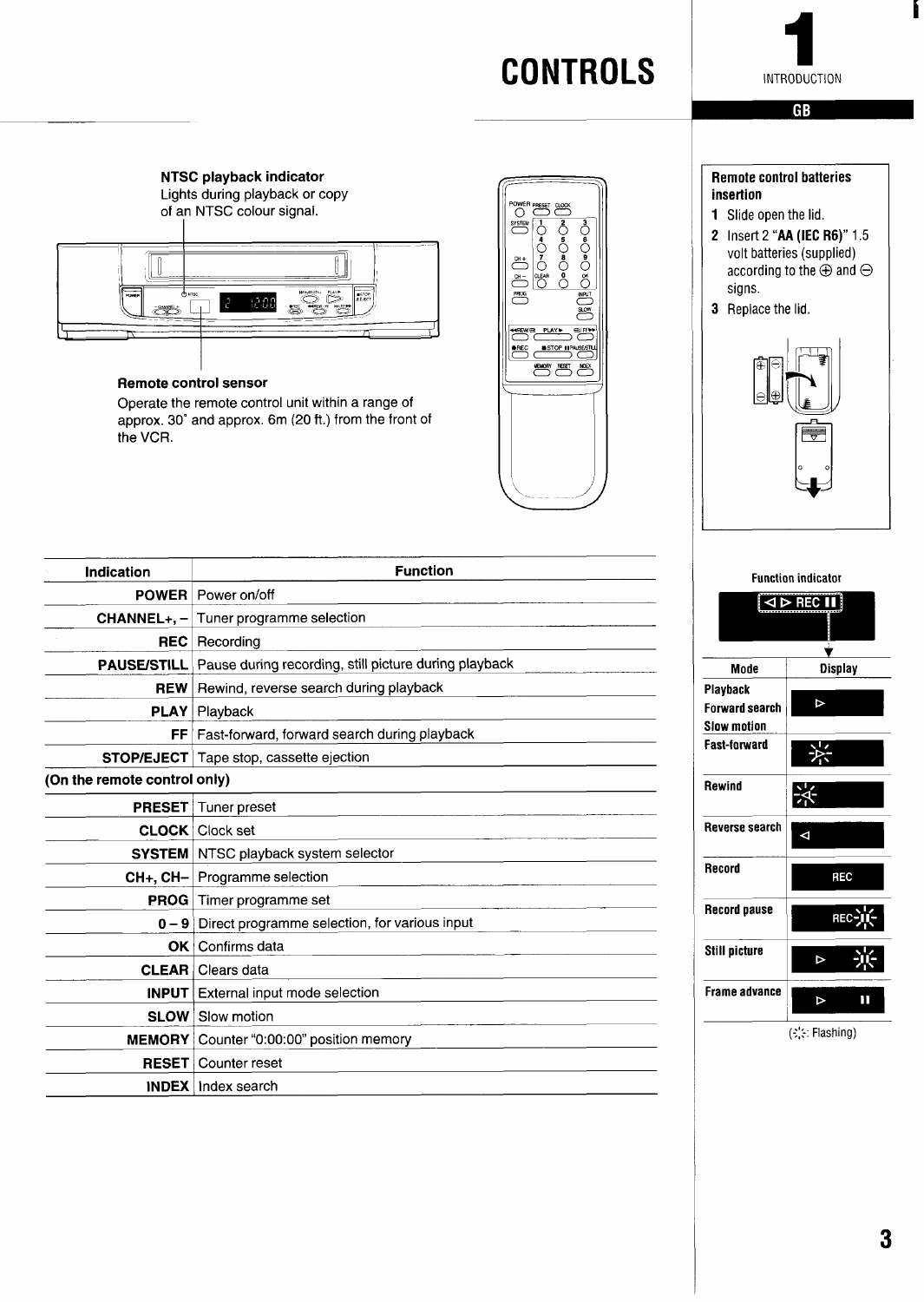

<span id="page-4-0"></span>**NTSC playback indicator** Lights during playback or copy of an NTSC colour signal.



#### **Remote control sensor**

Operate the remote control unit within a range of approx. 30" and approx. 6m (20 ft.) from the front of the VCR.



#### **Remote control batteries insertion**

- **1** Slide open the lid.
- 2 Insert 2 "AA (IEC R6)" 1.5 volt batteries (supplied) according to the  $\oplus$  and  $\ominus$ signs.
- 3 Replace the lid

—



| Indication                   | <b>Function</b>                                                          |
|------------------------------|--------------------------------------------------------------------------|
| <b>POWER</b>                 | Power on/off                                                             |
|                              | <b>CHANNEL+, <math>-</math></b> Tuner programme selection                |
| <b>REC</b>                   | Recording                                                                |
|                              | <b>PAUSE/STILL</b> Pause during recording, still picture during playback |
| <b>REW</b>                   | Rewind, reverse search during playback                                   |
| <b>PLAY</b>                  | Playback                                                                 |
| FF I                         | Fast-forward, forward search during playback                             |
|                              | <b>STOP/EJECT</b>   Tape stop, cassette ejection                         |
| (On the remote control only) |                                                                          |
|                              | <b>PRESET</b> Tuner preset                                               |
|                              | <b>CLOCK</b>   Clock set                                                 |
|                              | <b>SYSTEM</b> NTSC playback system selector                              |
|                              | $CH+, CH-$ Programme selection                                           |
| <b>PROG</b>                  | Timer programme set                                                      |
| $0 - 9$                      | Direct programme selection, for various input                            |
| OK l                         | Confirms data                                                            |
|                              | <b>CLEAR</b>   Clears data                                               |
|                              | <b>INPUT</b> External input mode selection                               |
|                              | <b>SLOW</b> Slow motion                                                  |
|                              | MEMORY   Counter "0:00:00" position memory                               |
| <b>RESET</b>                 | Counter reset                                                            |
|                              | <b>INDEX</b> Index search                                                |

**Function indicator**  $\sqrt{4}$  PHC II Ý Mode **Display** Playback  $\triangledown$ Forward**searct Slow**motion Fast-forward 兴 Rewind ※ Reverse search  $\blacktriangle$ Record REC Record pause **REC** Still picture  $\triangleright$ Frame advance  $\mathbf{H}$  $\triangleright$  $(\epsilon$ : Flashing)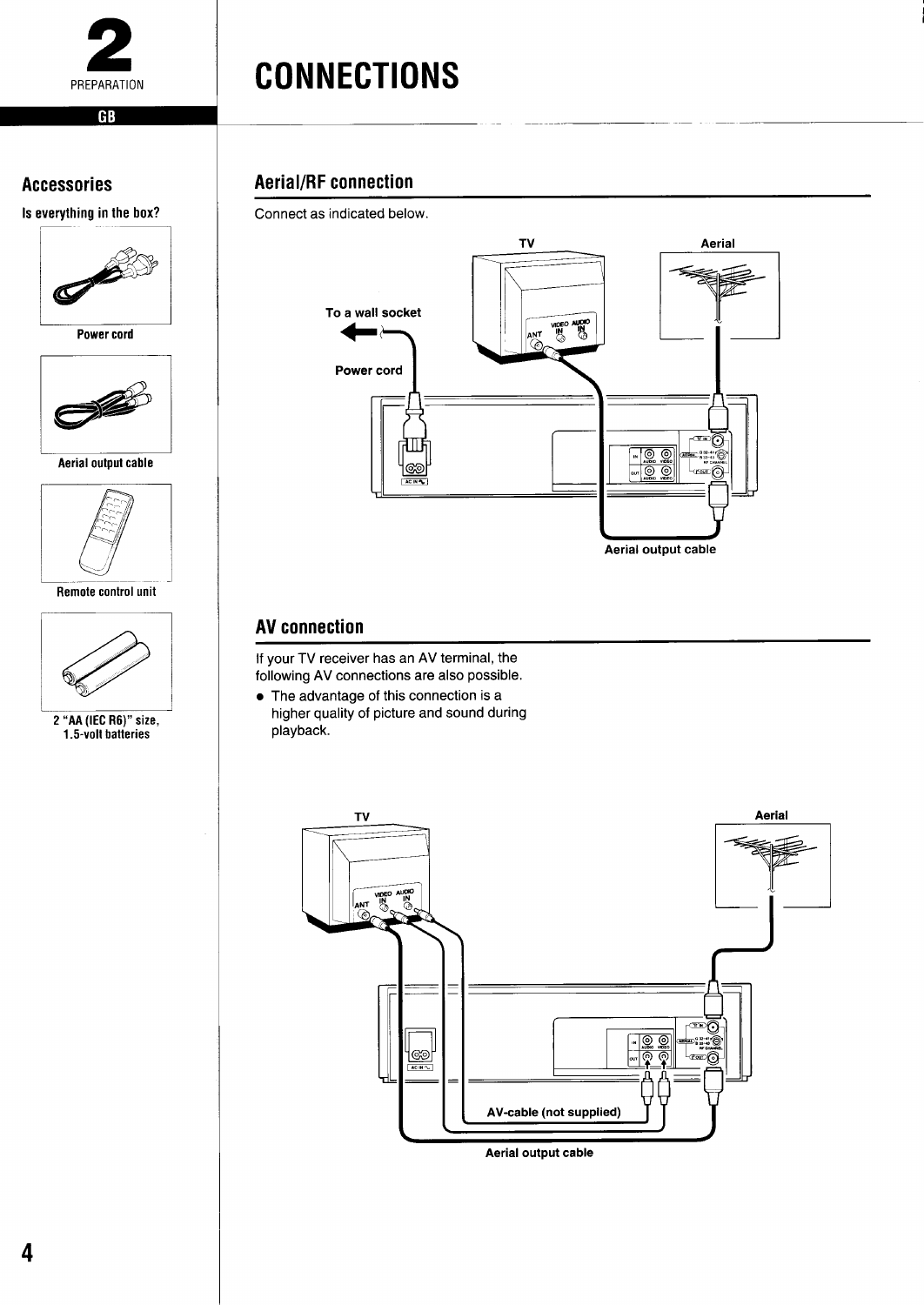<span id="page-5-0"></span>

### **CONNECTIONS**

#### **Accessories**

Is everything in the box?



Power cord



Aerial output cable



Remote control unit



2 "AA (IEC R6)" size,<br>1.5-volt batteries

#### **Aerial/RF connection**

Connect as indicated below.



#### **AV connection**

If your TV receiver has an AV terminal, the following AV connections are also possible.

• The advantage of this connection is a higher quality of picture and sound during playback.

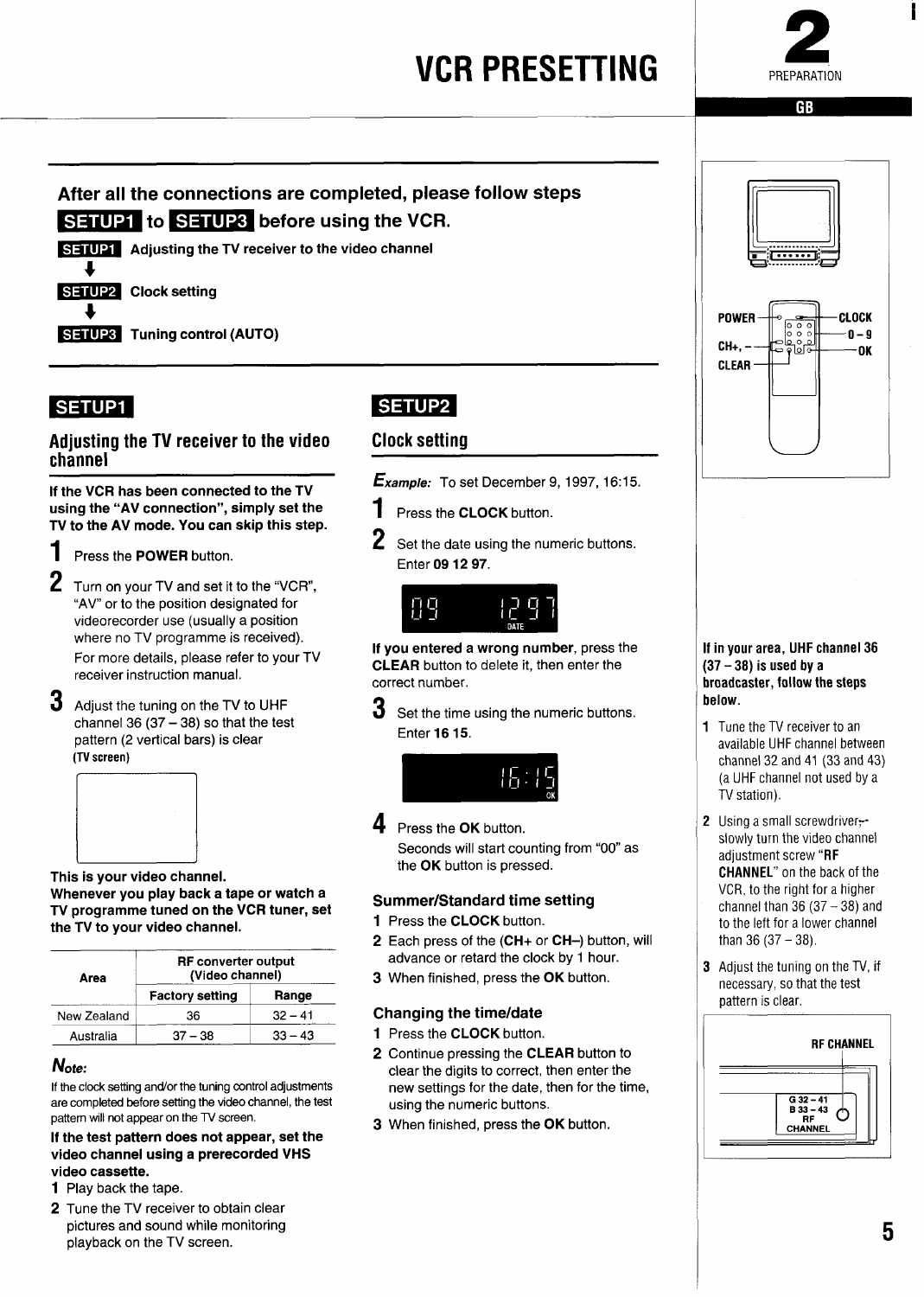### **VCR PRESETTING**



### <span id="page-6-0"></span>After all the connections are completed, please follow steps **SETUP1** to SETUP3 before using the VCR.



#### **SETUP1**

#### Adjusting the TV receiver to the video channel

**If the VCR has** been connected **to the TV using the "AV connection", simply set the TV to the AV mode. You can skip this step.**

- 1 Press the POWER button.
- **2** Turn on your TV and set it to the "VCR", "AV" or to the position designated for videorecorder use (usually a position where no TV programme is received). For more details, please refer to your TV receiver instruction manual.
- **3** Adjust the tuning on the TV to UHF channel 36  $(37 - 38)$  so that the test pattern (2 vertical bars) is clear (TV screen)



This is **your video channel.**

**Whenever you play back a tape or watch a TV programme tuned on the VCR tuner, set the TV to your video channel.**

| Area        | <b>RF</b> converter output<br>(Video channel) |           |  |
|-------------|-----------------------------------------------|-----------|--|
|             | <b>Factory setting</b>                        | Range     |  |
| New Zealand | 36                                            | $32 - 41$ |  |
| Australia   | $37 - 38$                                     | $33 - 43$ |  |

#### Note:

If the clock setting and/or the tuning control adjustments are completed before setting the video channel, the test pattern will not appear on the TV screen.

**If the test pattern does not appear, set the video channel using a prerecorded VHS** video cassette.

- 1 Play back the tape.
- 2 Tune the TV receiver to obtain clear pictures and sound while monitoring playback on the TV screen.

### SETUP2

#### Clock setting

**Example:** To set December 9, 1997, 16:15.

- 1 Press the CLOCK button.
- **2** Set the date using the numeric buttons. Enter 09 12 97.



**If you entered a wrong number,** press the CLEAR button to delete it, then enter the correct number.

**3** Set the time using the numeric buttons. **Enter 16 15.** 



**4** Press the OK button. Seconds will start counting from "00" as the **OK** button is pressed.

#### **Summer/Standard time setting**

- **1** Press the CLOCK button.
- 2 Each press of the (CH+ or CH-) button, will advance or retard the clock by 1 hour.
- 3 When finished, press the OK button.

#### **Changing the time/date**

- 1 Press the **CLOCK** button.
- 2 Continue pressing the CLEAR button to clear the digits to correct, then enter the new settings for the date, then for the time, using the numeric buttons.
- **3** When finished, press the **OK** button



#### in your area, UHF channel 36  $(37 - 38)$  is used by a roadcaster, follow the steps below.

- 1 Tune the TV receiver to an available UHF channel between channel 32 and 41 (33 and 43) (a **UHF**channel not used by a TV station).
- 2 Using a small screwdriverslowly turn the video channel adjustment screw "RF CHANNEL"on the back of the VCR, to the right for a higher channel than  $36(37 - 38)$  and to the left for a lower channel than  $36 (37 - 38)$ .
- 3 Adjust the tuning on the TV, if necessary, so that the test pattern is clear.



**5**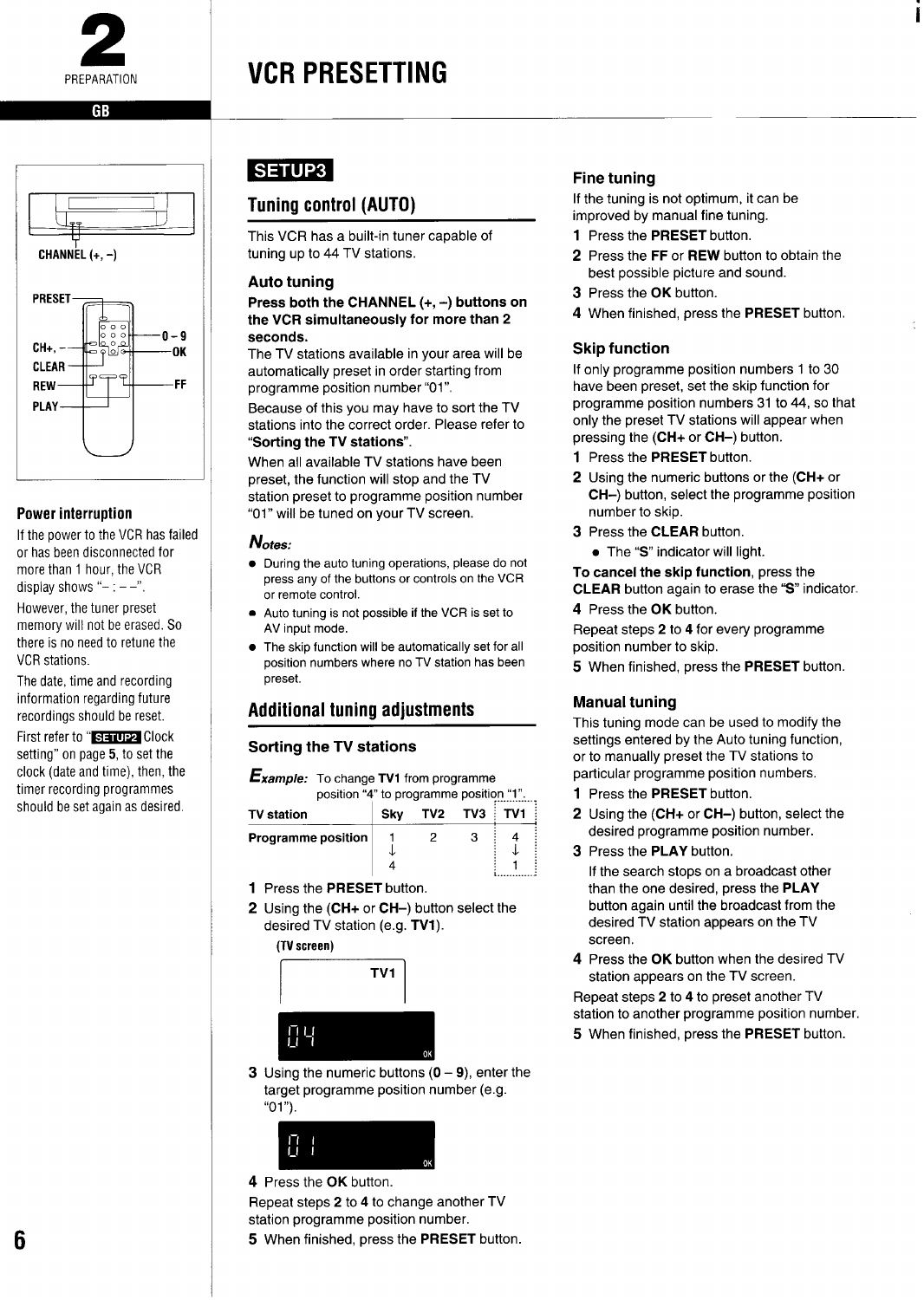<span id="page-7-0"></span>

### VCR PRESETTING

#### GR



#### Power interruption

If the power to the VCR has failed or has been disconnected for more than 1 hour, the VCR display shows " $- -$ ".

However, the tuner preset memory will not be erased. So there is no need to retune the VCR stations.

The date, time and recording information regarding future recordings should be reset.

First refer to "SHIUP2 Clock setting" on page 5, to set the clock (date and time), then, the timer recording programmes should be set again as desired.

#### **SETUP3**

#### Tuning control (AUTO)

This VCR has a built-in tuner capable of tuning up to 44 TV stations.

#### **Auto tuning**

**Press both the CHANNEL (+, -) buttons on the** VCR **simultaneously for more than 2 seconds.**

The TV stations available in your area will be automatically preset in order starting from programme position number "01"

Because of this you may have to sort the TV stations into the correct order. Please refer to **"Sorting the TV stations".**

When all available TV stations have been preset, the function will stop and the TV station preset to programme position number "01" will be tuned on your TV screen.

#### **Notes:**

- During the auto tuning operations, please do not press any of the buttons or controls on the VCR or remote control.
- Auto tuning is not possible if the VCR is set to AV input mode.
- The skip function will be automatically set for all position numbers where no TV station has been preset.

#### Additional tuning adjustments

#### **Sorting the** TV **stations**

*xample:* **To change TV1 from programme** position "4" to programme position "1".....

| <b>TV station</b>         | Skv | <b>TV2 TV3 TV1</b> |   |  |
|---------------------------|-----|--------------------|---|--|
| <b>Programme position</b> |     |                    | v |  |

- 1 Press the PRESET button.
- **2** Using the (CH+ or CH–) button select the desired TV station (e.g. **TV1).**



**3** Using the numeric buttons (O **9), enter** the target programme position number (e.g. "01").



**4** Press the OK button.

Repeat steps 2 to 4 to change another TV station programme position number.

#### settings entered by the Auto tuning function, or to manually preset the TV stations to particular programme position numbers. 1 Press the PRESET button.

**Manual tuning**

**Fine tuning**

3 Press the OK button.

**Skip function**

number to skip. 3 Press the CLEAR button. ● The "S" indicator will light. To cancel the skip **function,** press the CLEAR button again to erase the "S" indicator.

4 Press the OK button.

position number to skip.

If the tuning is not optimum, it can be improved by manual fine tuning. 1 Press the PRESET button.

2 Press the FF or REW button to obtain the best possible picture and sound.

4 When finished, press the PRESET button.

If only programme position numbers 1 to 30 have been preset, set the skip function for programme position numbers 31 to 44, so that only the preset TV stations will appear when

2 Using the numeric buttons or the (CH+ or CH-) button, select the programme position

Repeat steps 2 to 4 for every programme

5 When finished, press the PRESET button.

This tuning mode can be used to modify the

pressing the (CH+ or CH-) button. 1 Press the PRESET button.

2 Using the (CH+ or CH-) button, select the desired programme position number.

**i**

3 Press the PLAY button.

If the search stops on a broadcast other than the one desired, press the PLAY button again until the broadcast from the desired TV station appears on the TV screen.

**4** Press the OK button when the desired TV station appears on the TV screen.

Repeat steps 2 to 4 to preset another TV station to another programme position number.

5 When finished, press the **PRESET** button.

#### 5 When finished, press the PRESET button.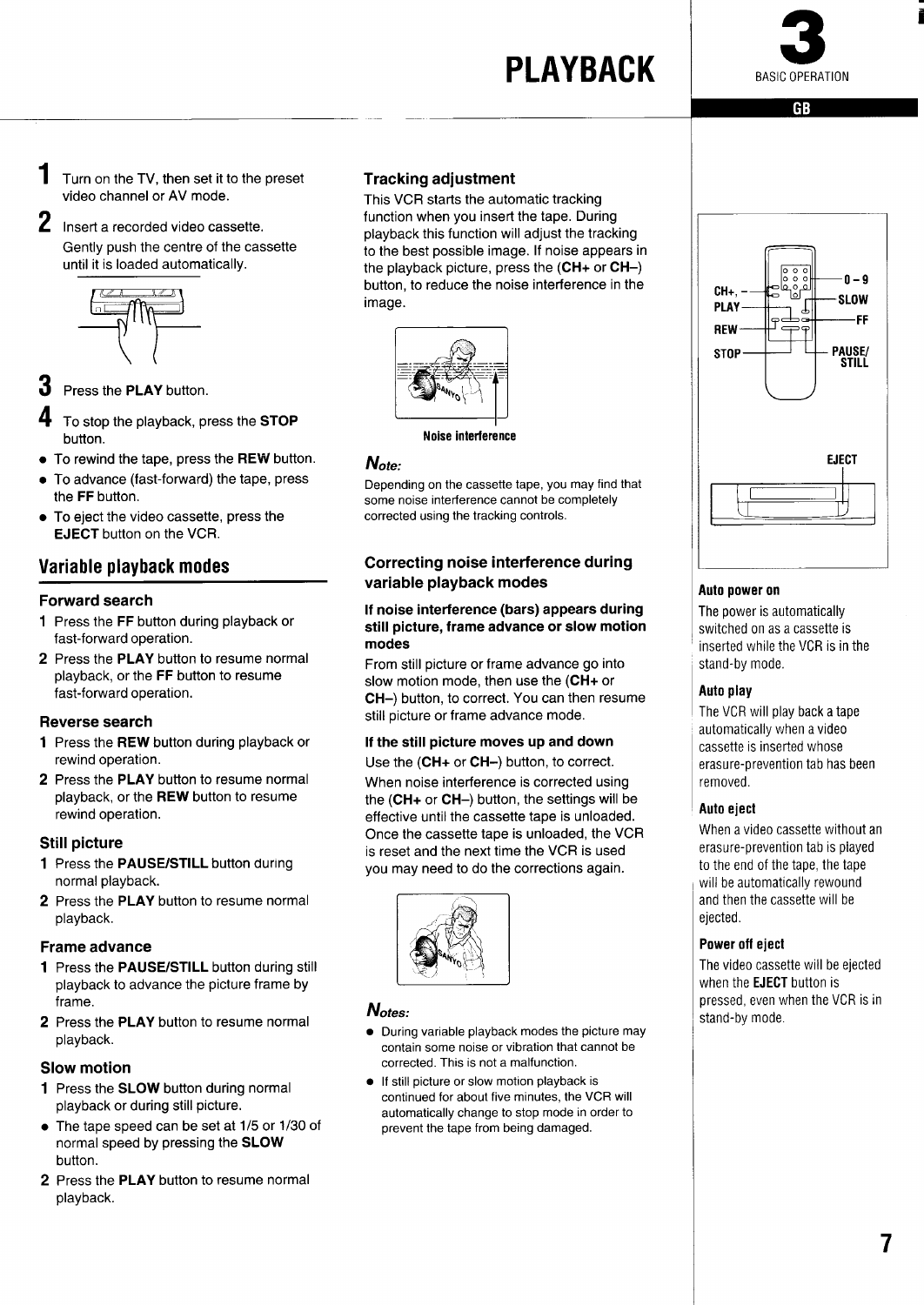### **PLAYBACK**



i

**GB** 

- <span id="page-8-0"></span>1 Turn on the TV, then set it to the preset video channel or AV mode.
- **2** Insert a recorded video cassette. Gently push the centre of the cassette until it is loaded automatically.



**3** Press the PLAY button.

**4** To stop the playback, press the STOP button.

- $\bullet\,$  To rewind the tape, press the  ${\tt REW}$  button
- the **FF** button To advance (fast-forward) the tape, press
- To eject the video cassette, press the  $\mathsf E\mathsf J\mathsf E\mathsf C\mathsf T$  button on the VCF

#### Variable playback modes

#### **Forward search**

- **1** Press the FF button during playback or fast-forward operation.
- 2 Press the **PLAY button to resume normal playback, or the FF button to resume fast-forward operation.**

#### **Reverse search**

- **1** Press the REW button during playback or rewind operation.
- 2 Press the PLAY button to resume normal playback, or the REW button to resume rewind operation.

#### Still picture

- 1 Press the PAUSE/STILL button during normal playback.
- 2 Press the PLAY button to resume normal playback.

#### Frame advance

- 1 Press the PAUSE/STILL button during still playback to advance the picture frame by frame.
- 2 Press the PLAY button to resume normal playback.

#### Slow motion

- 1 Press the **SLOW** button during normal playback or during still picture.
- The tape speed can be set at 1/5 or 1/30 of normal speed by pressing the **SLOW button.**
- **2** Press the **PLAY button to resume normal playback.**

#### **Tracking adjustment**

This VCR starts the automatic tracking function when you inserf the tape. During playback this function will adjust the tracking to the best possible image. If noise appears in the playback picture, press the **(CH+ or CH–)** button, to reduce the noise interference in the image.





#### **Note:**

Depending on the cassette tape, you may find that some noise interference cannot be completely corrected using the tracking controls.

#### **Correcting noise interference during variable playback modes**

#### **If noise interference (bars) appears during still picture, frame advance or slow motion modes**

**From still picture or frame advance go into slow motion mode, then use the (CH+ or CH–) button, to correct. You can then resume still picture or frame advance mode.**

#### **If the still picture moves up and down**

Use the **(CH+** or CH-) button, to correct. When noise interference is corrected using

the **(CH+** or **CH–)** button, the settings will be effective until the cassette tape is unloaded. Once the cassette tape is unloaded, the VCR is reset and the next time the VCR is used you may need to do the corrections again.



#### **Notes:**

- During variable playback modes the picture may contain some noise or vibration that cannot be corrected. This is not a malfunction.
- If still picture or slow motion playback is continued for about five minutes, the VCR will automatically change to stop mode in order to prevent the tape from being damaged.



#### Auto power on

The power is automatically switched on as a cassette is inserted while the VCR is in the stand-by mode.

#### Auto play

The VCR will play back a tape automatically when a video cassette is inserted whose erasure-prevention tab has been removed.

#### Auto eject

When a video cassette without an erasure-prevention tab is played to the end of the tape, the tape will be automatically rewound and then the cassette will be ejected.

#### **Poweroff eject**

The video cassette will be ejected when the **EJECT** button is pressed, even when the VCR is in stand-by mode.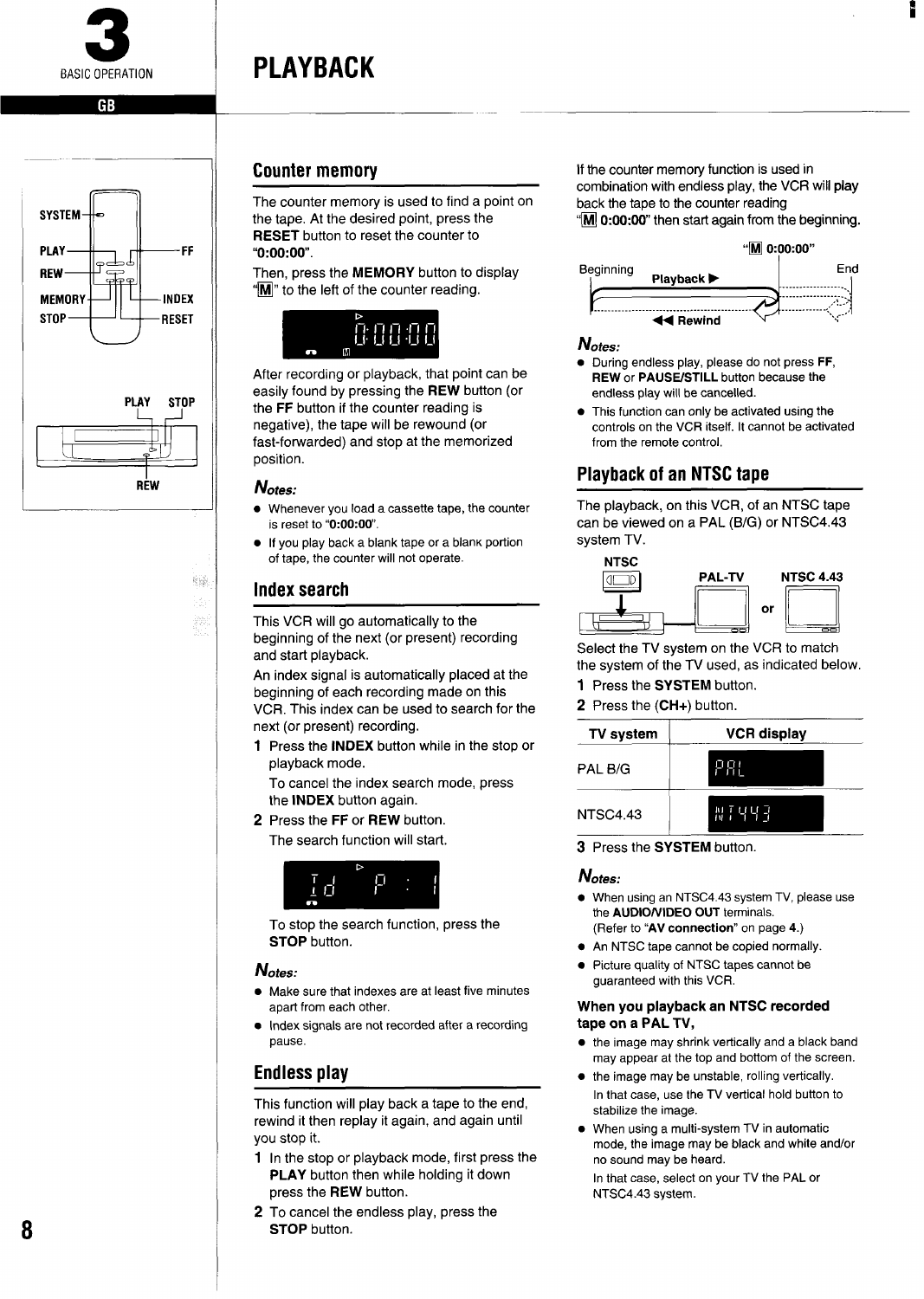<span id="page-9-0"></span>

### PLAYBACK



#### Counter memory

The counter memory is used to find a point on the tape. At the desired point, press the **RESET** button to reset the counter to "0:00:00.

Then, press the MEMORY button to display  $\sqrt[m]{\mathbf{M}}$  to the left of the counter reading.



After recording or playback, that point can be easily found by pressing **the REW button (or the FF button if the counter reading is negative), the tape will be rewound (or fast-forwarded) and stop at the memorized position.**

#### **Notes:**

**Mill** 

.<br>Pr

- Whenever you load a cassette tape, the counter is reset to "0:00:00.
- **•** If you play back a blank tape or a blank portion of tape, the counter will not operate.

#### Index search

This VCR will go automatically to the beginning of the next (or present) recording and start playback.

An index signal is automatically placed at the beginning of each recording made on this VCR. This index can be used to search for the next (or present) recording.

1 Press the **INDEX button while in the stop or playback mode.**

**To cancel the index search** mode, press the INDEX button again.

**2** Press the FF or REW button. The search function will start.



To stop the search function, press the STOP button.

#### **Notes:**

- Make sure that indexes are at least five minutes apart from each other.
- Index signals are not recorded after a recording pause.

#### Endless play

This function will play back a tape to the end, rewind it then replay it again, and again until you stop it.

- 1 In the stop or playback mode, first press the PLAY button then while holding it down press the REW button.
- 2 To cancel the endless play, press the STOP button.

If the counter memory function is used in combination with endless play, the VCR will play back the tape to the counter reading "M 0:00:00" then start again from the beginning.



#### **Notes:**

- During endless play, please do not press FF, REW or PAUSE/STILL button because the endless play will be cancelled.
- This function can only be activated using the controls on the VCR itself. It cannot be activated from the remote control,

#### Playback of an NTSC tape

The playback, on this VCR, of an **NTSC** tape can be viewed on a PAL (B/G) or NTSC4.43 system TV.



Select the TV system on the VCR to match the system of the TV used, as indicated below.

- 1 Press the SYSTEM button.
- 2 Press the (CH+) button.

| TV system       | <b>VCR display</b> |
|-----------------|--------------------|
| PAL B/G         | pgi                |
| <b>NTSC4.43</b> | NT 443             |

3 Press the SYSTEM button.

#### **Notes:**

- When using an NTSC4.43 system TV, please use the AUDIO/VIDEO OUT terminals. (Refer to "AV connection" on page 4.)
- An NTSC tape cannot be copied normally.
- Picture quality of NTSC tapes cannot be guaranteed with this VCR.

#### **When you playback an NTSC recorded tape on a PAL** TV,

- the image may shrink vetitcally and a black band may appear at the top and bottom of the screen.
- the image may be unstable, rolling vertically. In that case, use the TV vertical hold button to stabilize the image.
- When using a multi-system TV in automatic mode, the image may be black and white and/or no sound may be heard.

In that case, select on your TV the PAL or NTSC4.43 system.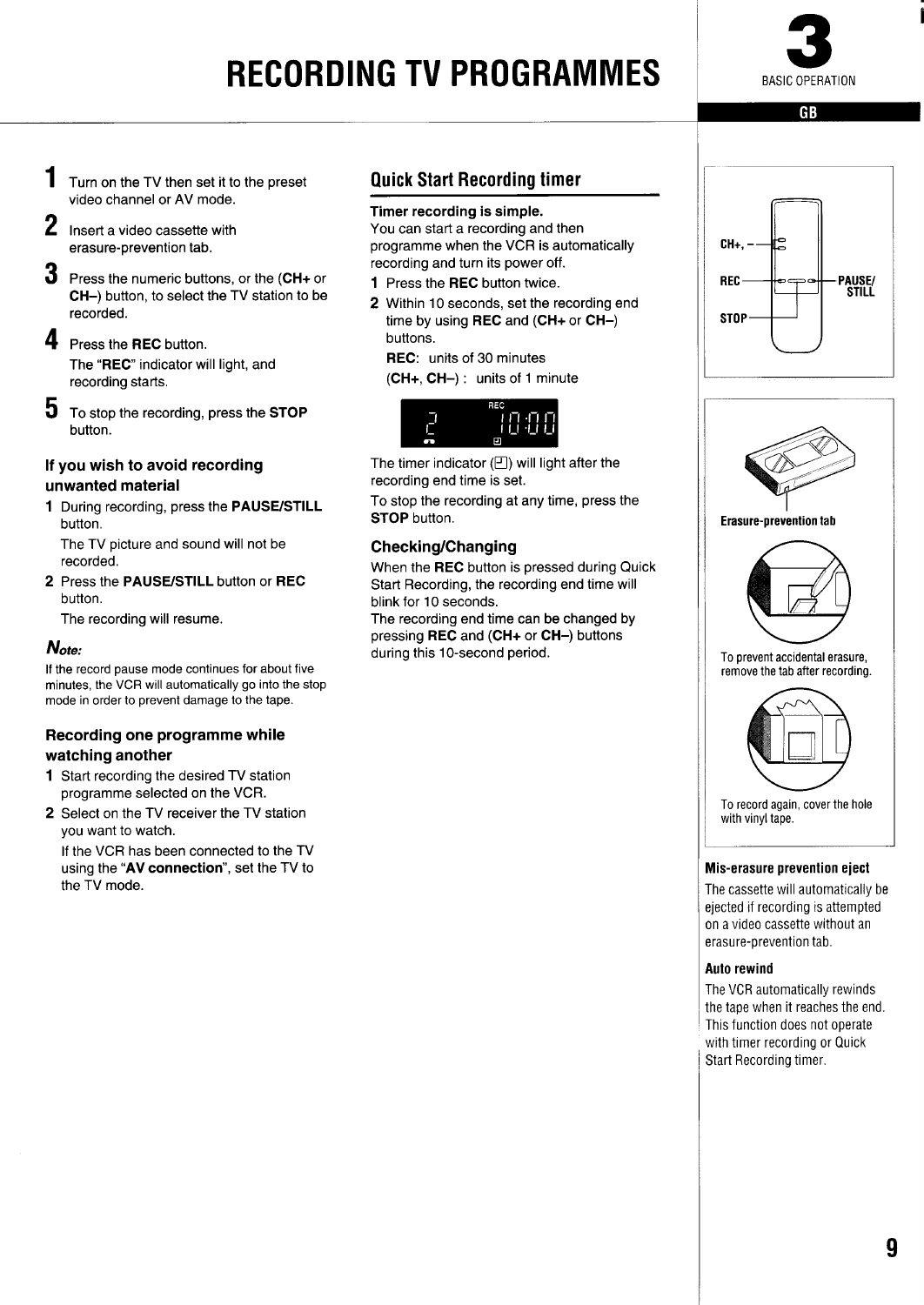## **RECORDING TV PROGRAMMES**



GB

i

- <span id="page-10-0"></span>1 Turn on the TV then set it to the preset video channel or AV mode.
- 2 Insert a video cassette with erasure-prevention tab.
- 3 Press the numeric buttons, or the (CH+ or CH-) button, to select the TV station to be recorded.
- 4 Press the REC button. The "REC" indicator will light, and recording starts,
- 5 To stop the recording, press the STOP button.

#### If you wish to avoid recording unwanted material

1 During recording, press the PAUSE/STILL button.

The TV picture and sound will not be recorded.

2 Press the PAUSE/STILL button or REC button.

The recording will resume.

#### **Note:**

If the record pause mode continues for about five minutes, the VCR **will automatically go into the stop mode in order to prevent damage to the tape.**

#### **Recording one programme while watching another**

- **1** Start recording the desired TV station programme selected on the VCR.
- 2 Select on the TV receiver the TV station you want to watch.

If the VCR has been connected to the TV using the "AV **connection",** set the TV to the TV mode.

#### Quick Start Recording timer

#### **Timer recording is simple.**

You can start a recording and then programme when the VCR is automatically recording and turn its power off.

- 1 Press the **REC button twice.**
- 2 Within 10 seconds, set the recording end time by using REC and (CH+ or CH-) buttons.

REC: units of 30 minutes

(CH+, CH-) : units of 1 minute



The timer indicator  $(\square)$  will light after the recording end time is set.

To stop the recording at any time, press the **STOP** button.

#### **Checking/Changing**

When the **REC button is pressed during Quick Start Recording, the recording end time will blink for 10 seconds.**

**The recording** end time can be changed by pressing **REC and (CH+ or CH-) buttons during this 10-second period.**





**Erasure-prevention tab** 



To **prevent accidental erasure, remove the tab after recording.**



To **record again, cover the hole with vinyl tape.**

#### **Mis-erasure prevention eject**

The cassette will automatically be eiected if recording is attempted n a video cassette without an erasure-prevention tab.

#### **Auto rewind**

he VCR automatically rewinds the tape when it reaches the end. This function does not operate with timer recording or Quick Start Recording timer.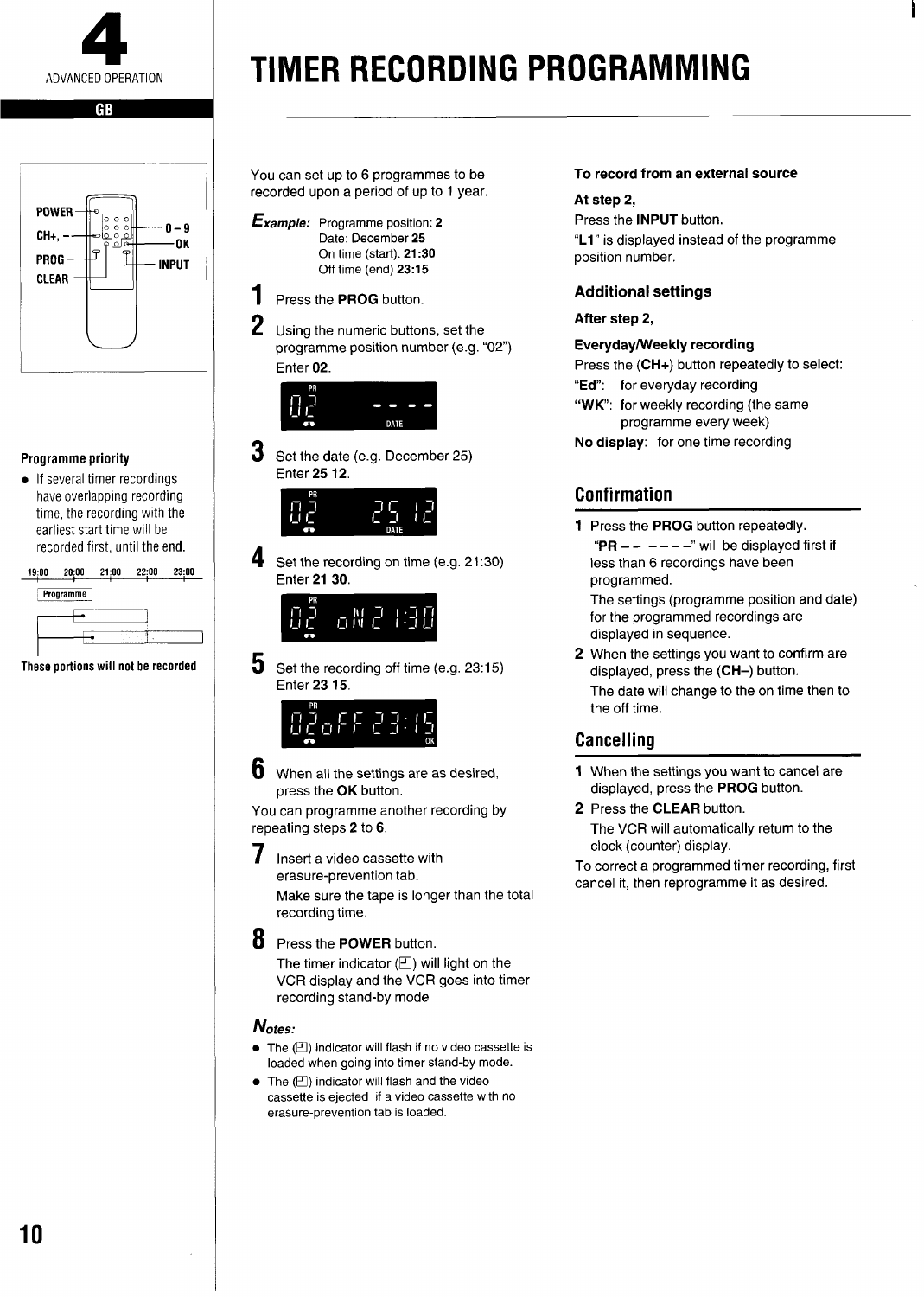<span id="page-11-0"></span>

## **TIMER RECORDING PROGRAMMING**



#### Programme priority

● If several timer recordings have overlapping recording time, the recording with the earliest start time will be recorded first, until the end.

**19:00 20;00 21:00 22;00 2300 Programme** I <sup>I</sup> ● <sup>1</sup>

**These portions will not be recorded** 

You can set up to 6 programmes to be recorded upon a period of up to 1 year.

- **Example:** Programme position: 2 Date: December 25 On time (start): 21:30 Off time (end) 23:15
- 1 Press the PROG button.
- 2 Using the numeric buttons, set the programme position number (e.g. "02") Enter 02.



3 Set the date (e.g. December 25) Enter 2512.



4 Set the recording on time (e.g. 21:30) Enter 2130.



5 Set the recording off time (e.g. 23:15) Enter 2315.



6 When all the settings are as desired, press the **OK** button.

You can programme another recording by repeating steps 2 to 6.

- **7** Insert a video cassette with erasure-prevention tab. Make sure the tape is longer than the total recording time.
- **8** Press **the POWER button.** The timer indicator  $(\square)$  will light on the VCR display and the VCR goes into timer recording stand-by mode

#### Notes:

- The  $(\Box)$  indicator will flash if no video cassette is loaded when going into timer stand-by mode.
- The  $(\square)$  indicator will flash and the video cassette is ejected if a video cassette with no erasure-prevention tab is loaded.

#### To **record from an external source**

#### **At step** 2,

Press the INPUT button. "L1" is displayed instead of the programme position number.

#### **Additional settings**

#### **After step 2,**

#### **Everyday/Weekly recording**

**Press the (CH+) button repeatedly to select:**

- **"Ed": for everyday recording**
- **"WK: for weekly recording (the same programme every week)**

**No display: for one time recording**

#### Confirmation

1 Press the **PROG button repeatedly.** " $PR - - - - -$ " will be displayed first if **less than 6 recordings have been programmed.**

The settings (programme position and date) for the programmed recordings are displayed in sequence.

**2** When the settings you want to confirm are displayed, press the (CH–) button. The date will change to the on time then to the off time.

#### **Cancelling**

- 1 When the settings you want to cancel are displayed, press the PROG button.
- **2** Press the **CLEAR button. The** VCR will automatically return to the clock (counter) display.

To correct a programmed timer recording, first cancel it, then reprogramme it as desired.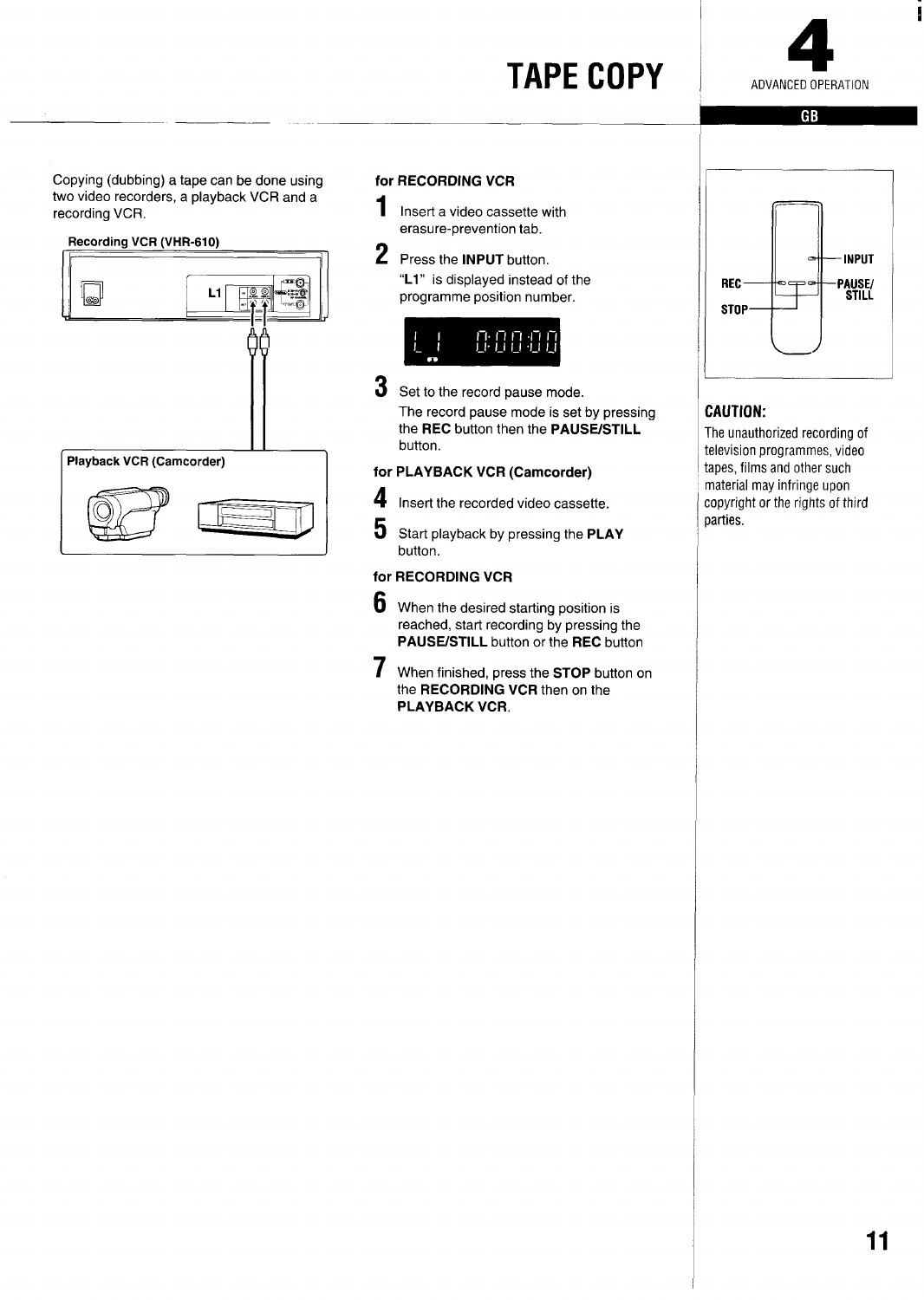### **TAPE COPY**



 $G$  $B$ 

<span id="page-12-0"></span>Copying (dubbing) a tape can be done using two video recorders, a playback VCR **and a recording VCR.**



#### **for RECORDING VCR**

1

**Insert a video cassette with erasure-prevention tab.**

2 **Press the INPUT button. "L1" is displayed instead of the programme position number.**



3 Set to the record pause mode. The record pause mode is set by pressing **the REC** button then the **PAUSE/STILL button.**

**for PLAYBACK VCR (Camcorder)**

**4 insert** the recorded video cassette.

**5 Start playback bypressing the PLAY button.**

#### **for RECORDING VCR**

- 6 When the desired starting position is reached, start recording by pressing the **PAUS13STILL button or the REC button**
- 7 **When finished, press the STOP button on the RECORDING VCR** then on the PLAYBACK VCR.



#### CAUTION:

The unauthorized recording of television programmes, video tapes, films and other such material may infringe upon copyright or the rights of third parties.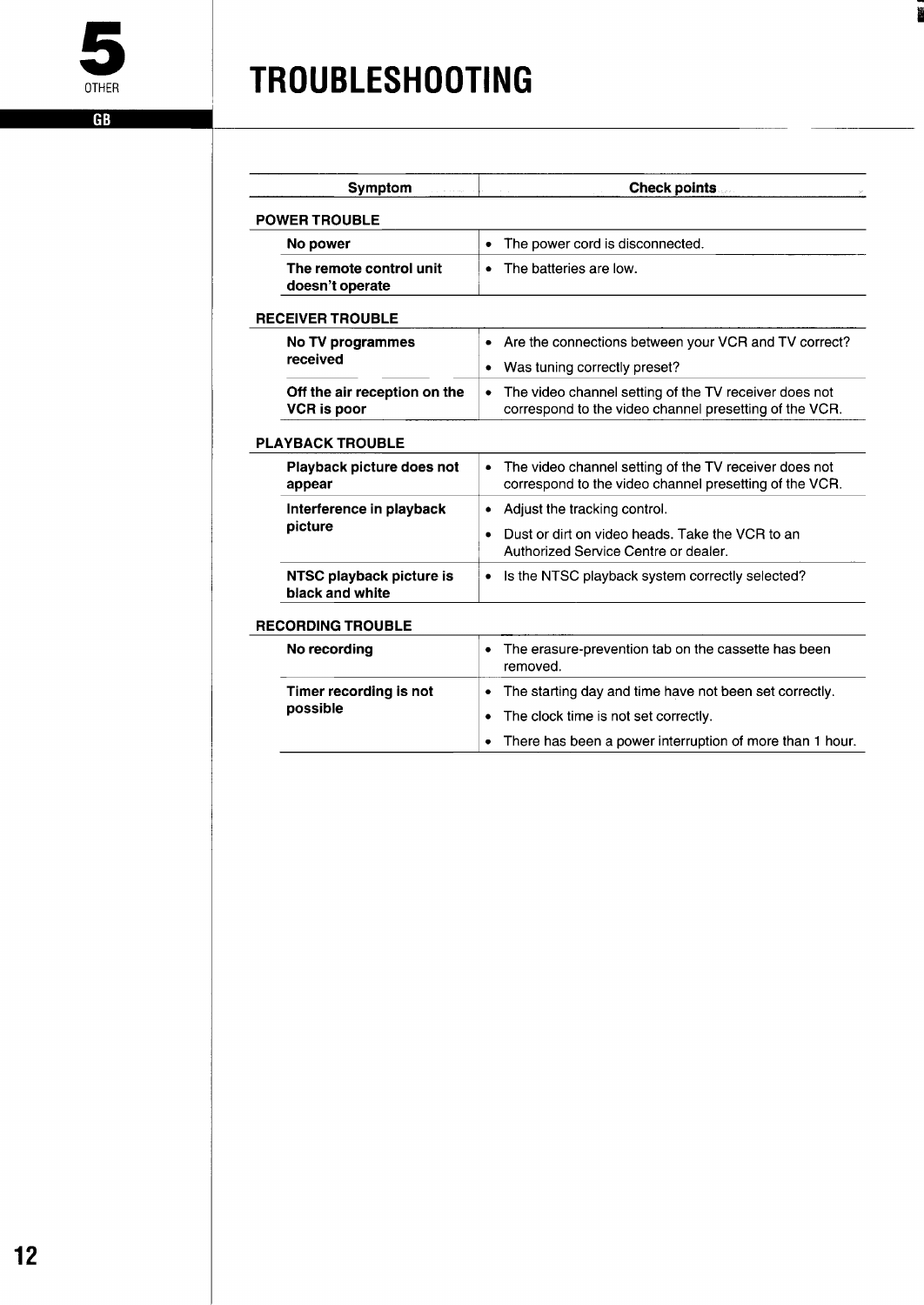<span id="page-13-0"></span> $\overline{\mathsf{GB}}$ 

### **TROUBLESHOOT NG**

| Symptom<br>and a strong                            | <b>Check points</b>                                                                                                  |
|----------------------------------------------------|----------------------------------------------------------------------------------------------------------------------|
| <b>POWER TROUBLE</b>                               |                                                                                                                      |
| No power                                           | The power cord is disconnected.<br>٠                                                                                 |
| The remote control unit<br>doesn't operate         | The batteries are low.<br>$\bullet$                                                                                  |
| <b>RECEIVER TROUBLE</b>                            |                                                                                                                      |
| No TV programmes                                   | Are the connections between your VCR and TV correct?<br>$\bullet$                                                    |
| received                                           | Was tuning correctly preset?                                                                                         |
| Off the air reception on the<br><b>VCR</b> is poor | The video channel setting of the TV receiver does not<br>٠<br>correspond to the video channel presetting of the VCR. |
| <b>PLAYBACK TROUBLE</b>                            |                                                                                                                      |
| Playback picture does not<br>appear                | The video channel setting of the TV receiver does not<br>٠<br>correspond to the video channel presetting of the VCR. |
| Interference in playback                           | Adjust the tracking control.<br>٠                                                                                    |
| picture                                            | Dust or dirt on video heads. Take the VCR to an<br>٠<br>Authorized Service Centre or dealer.                         |
| NTSC playback picture is<br>black and white        | Is the NTSC playback system correctly selected?                                                                      |
| <b>RECORDING TROUBLE</b>                           |                                                                                                                      |
| No recording                                       | The erasure-prevention tab on the cassette has been<br>٠<br>removed.                                                 |
| Timer recording is not<br>possible                 | The starting day and time have not been set correctly.<br>٠                                                          |
|                                                    | The clock time is not set correctly.                                                                                 |
|                                                    | There has been a power interruption of more than 1 hour.                                                             |

iii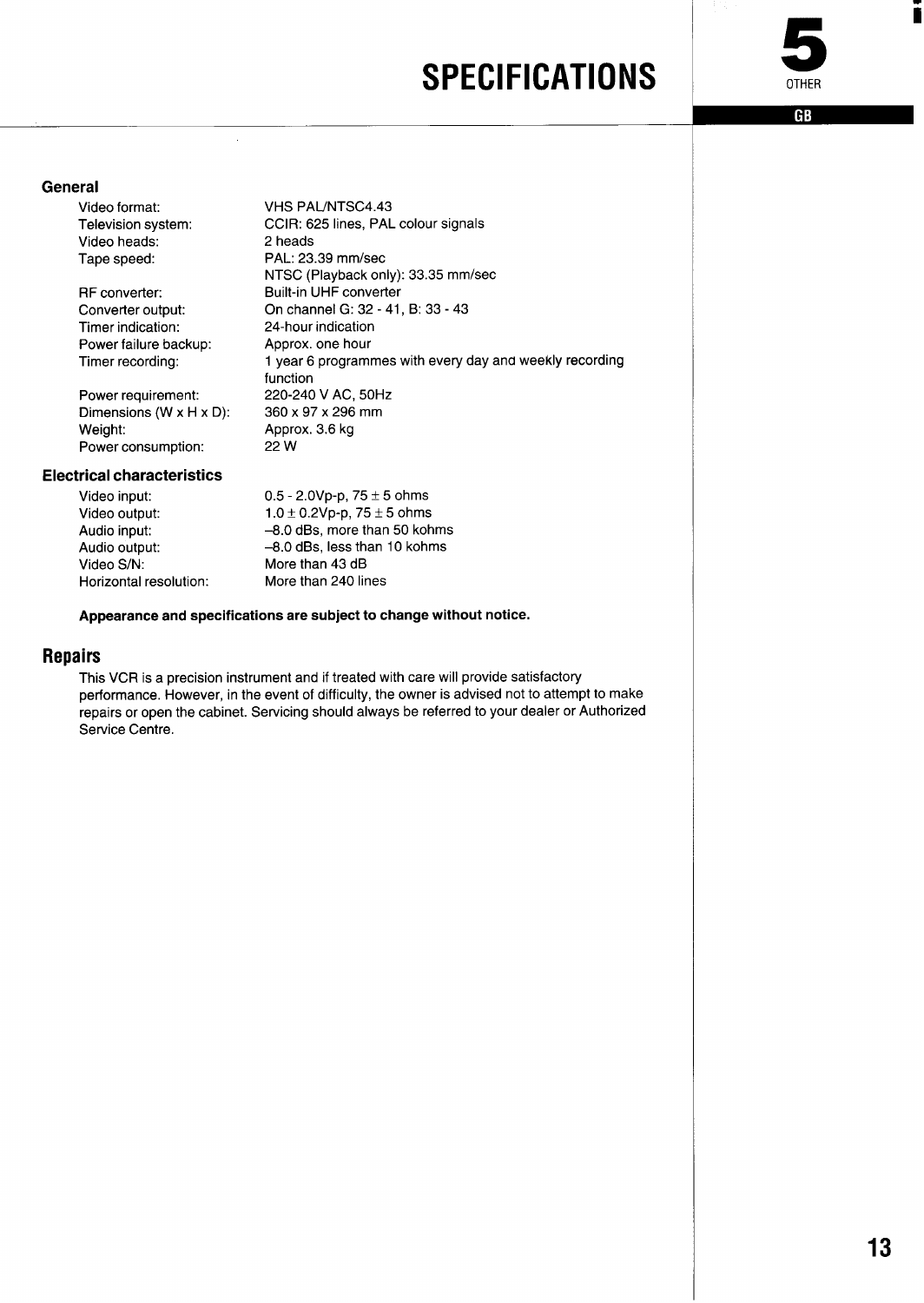### **SPECIFICATIONS**



i

**GB** 

#### <span id="page-14-0"></span>**General**

Video format: Television system: Video heads: Tape speed:

RF converter: Converter output: Timer indication: Power failure backup: Timer recording:

**VHS PAUNTSC4.43** CCIR: 625 lines, PAL colour signals 2 heads PAL: 23.39 mm/see NTSC (Playback only): 33.35 mm/sec Built-in UHF converter On channel G: 32-41, B: 33-43 24-hour indication Approx. one hour 1 year 6 programmes with every day and weekly recording function 220-240 V AC, 50Hz 360 x 97x 296 mm Approx. 3.6 kg 22 w

#### Power consumption: **Electrical characteristics**

Weight:

Power requirement: Dimensions (W x H x D):

| 0.5 - 2.0Vp-p, $75 \pm 5$ ohms      |
|-------------------------------------|
| $1.0 \pm 0.2$ Vp-p, 75 $\pm$ 5 ohms |
| -8.0 dBs, more than 50 kohms        |
| -8.0 dBs, less than 10 kohms        |
| More than 43 dB                     |
| More than 240 lines                 |
|                                     |

 $\bar{z}$ 

#### **Appearance and specifications are subject to change without notice.**

#### **Repairs**

This VCR is a precision instrument and if treated with care will provide satisfactory performance. However, in the event of difficulty, the owner is advised not to attempt to make repairs or open the cabinet. Servicing should always be referred to your dealer or Authorized Service Centre.